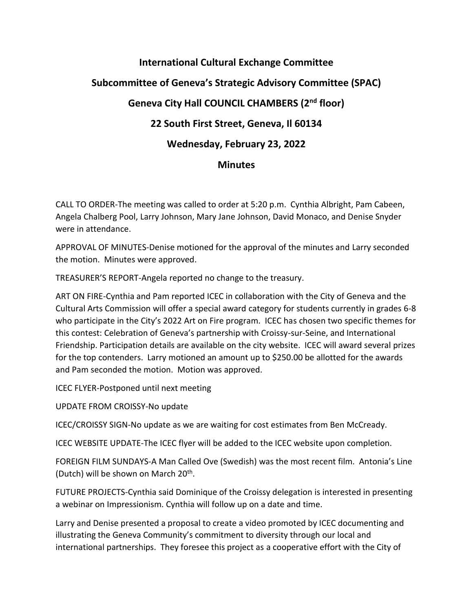## **International Cultural Exchange Committee Subcommittee of Geneva's Strategic Advisory Committee (SPAC) Geneva City Hall COUNCIL CHAMBERS (2nd floor) 22 South First Street, Geneva, Il 60134 Wednesday, February 23, 2022 Minutes**

CALL TO ORDER-The meeting was called to order at 5:20 p.m. Cynthia Albright, Pam Cabeen, Angela Chalberg Pool, Larry Johnson, Mary Jane Johnson, David Monaco, and Denise Snyder were in attendance.

APPROVAL OF MINUTES-Denise motioned for the approval of the minutes and Larry seconded the motion. Minutes were approved.

TREASURER'S REPORT-Angela reported no change to the treasury.

ART ON FIRE-Cynthia and Pam reported ICEC in collaboration with the City of Geneva and the Cultural Arts Commission will offer a special award category for students currently in grades 6-8 who participate in the City's 2022 Art on Fire program. ICEC has chosen two specific themes for this contest: Celebration of Geneva's partnership with Croissy-sur-Seine, and International Friendship. Participation details are available on the city website. ICEC will award several prizes for the top contenders. Larry motioned an amount up to \$250.00 be allotted for the awards and Pam seconded the motion. Motion was approved.

ICEC FLYER-Postponed until next meeting

UPDATE FROM CROISSY-No update

ICEC/CROISSY SIGN-No update as we are waiting for cost estimates from Ben McCready.

ICEC WEBSITE UPDATE-The ICEC flyer will be added to the ICEC website upon completion.

FOREIGN FILM SUNDAYS-A Man Called Ove (Swedish) was the most recent film. Antonia's Line (Dutch) will be shown on March 20<sup>th</sup>.

FUTURE PROJECTS-Cynthia said Dominique of the Croissy delegation is interested in presenting a webinar on Impressionism. Cynthia will follow up on a date and time.

Larry and Denise presented a proposal to create a video promoted by ICEC documenting and illustrating the Geneva Community's commitment to diversity through our local and international partnerships. They foresee this project as a cooperative effort with the City of